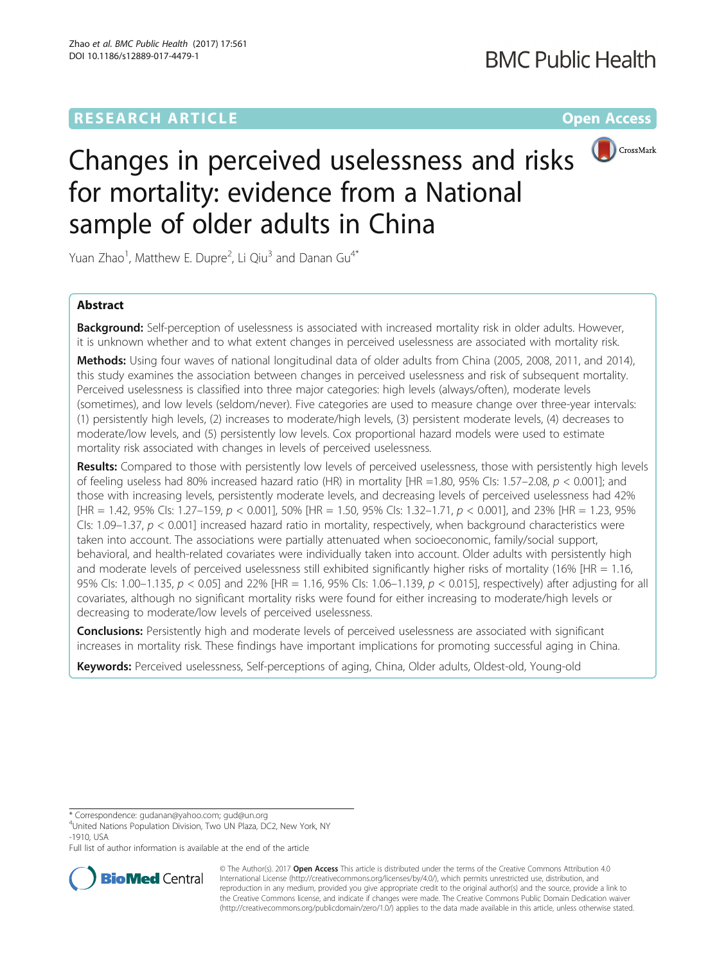# **RESEARCH ARTICLE Example 2014 12:30 The Contract of Contract ACCESS**



# Changes in perceived uselessness and risks for mortality: evidence from a National sample of older adults in China

Yuan Zhao<sup>1</sup>, Matthew E. Dupre<sup>2</sup>, Li Qiu<sup>3</sup> and Danan Gu<sup>4\*</sup>

# Abstract

**Background:** Self-perception of uselessness is associated with increased mortality risk in older adults. However, it is unknown whether and to what extent changes in perceived uselessness are associated with mortality risk.

Methods: Using four waves of national longitudinal data of older adults from China (2005, 2008, 2011, and 2014), this study examines the association between changes in perceived uselessness and risk of subsequent mortality. Perceived uselessness is classified into three major categories: high levels (always/often), moderate levels (sometimes), and low levels (seldom/never). Five categories are used to measure change over three-year intervals: (1) persistently high levels, (2) increases to moderate/high levels, (3) persistent moderate levels, (4) decreases to moderate/low levels, and (5) persistently low levels. Cox proportional hazard models were used to estimate mortality risk associated with changes in levels of perceived uselessness.

Results: Compared to those with persistently low levels of perceived uselessness, those with persistently high levels of feeling useless had 80% increased hazard ratio (HR) in mortality [HR =1.80, 95% CIs: 1.57–2.08,  $p < 0.001$ ]; and those with increasing levels, persistently moderate levels, and decreasing levels of perceived uselessness had 42%  $[HR = 1.42, 95\% \text{ CIs: } 1.27-159, p < 0.001$ , 50%  $[HR = 1.50, 95\% \text{ CIs: } 1.32-1.71, p < 0.001$ , and 23%  $[HR = 1.23, 95\% \text{ CIs: } 1.32-1.71, p < 0.001$ CIs: 1.09–1.37,  $p < 0.001$ ] increased hazard ratio in mortality, respectively, when background characteristics were taken into account. The associations were partially attenuated when socioeconomic, family/social support, behavioral, and health-related covariates were individually taken into account. Older adults with persistently high and moderate levels of perceived uselessness still exhibited significantly higher risks of mortality (16% [HR  $= 1.16$ , 95% CIs: 1.00–1.135,  $p < 0.05$ ] and 22% [HR = 1.16, 95% CIs: 1.06–1.139,  $p < 0.015$ ], respectively) after adjusting for all covariates, although no significant mortality risks were found for either increasing to moderate/high levels or decreasing to moderate/low levels of perceived uselessness.

**Conclusions:** Persistently high and moderate levels of perceived uselessness are associated with significant increases in mortality risk. These findings have important implications for promoting successful aging in China.

Keywords: Perceived uselessness, Self-perceptions of aging, China, Older adults, Oldest-old, Young-old

\* Correspondence: [gudanan@yahoo.com;](mailto:gudanan@yahoo.com) [gud@un.org](mailto:gud@un.org) <sup>4</sup>

United Nations Population Division, Two UN Plaza, DC2, New York, NY -1910, USA

Full list of author information is available at the end of the article



© The Author(s). 2017 **Open Access** This article is distributed under the terms of the Creative Commons Attribution 4.0 International License [\(http://creativecommons.org/licenses/by/4.0/](http://creativecommons.org/licenses/by/4.0/)), which permits unrestricted use, distribution, and reproduction in any medium, provided you give appropriate credit to the original author(s) and the source, provide a link to the Creative Commons license, and indicate if changes were made. The Creative Commons Public Domain Dedication waiver [\(http://creativecommons.org/publicdomain/zero/1.0/](http://creativecommons.org/publicdomain/zero/1.0/)) applies to the data made available in this article, unless otherwise stated.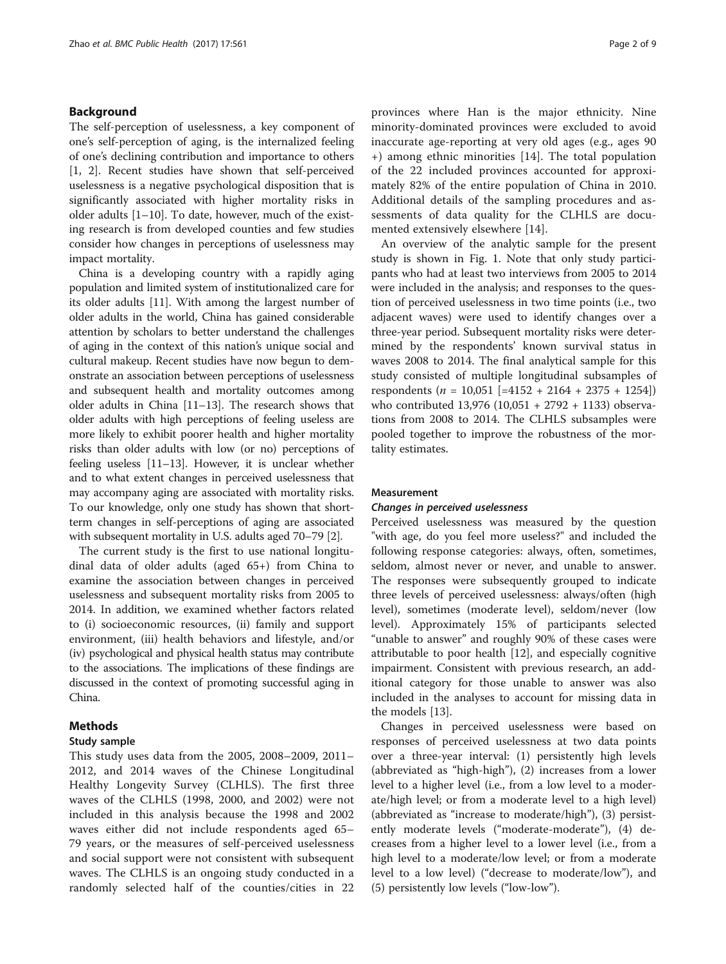#### Background

The self-perception of uselessness, a key component of one's self-perception of aging, is the internalized feeling of one's declining contribution and importance to others [[1, 2\]](#page-7-0). Recent studies have shown that self-perceived uselessness is a negative psychological disposition that is significantly associated with higher mortality risks in older adults [\[1](#page-7-0)–[10\]](#page-7-0). To date, however, much of the existing research is from developed counties and few studies consider how changes in perceptions of uselessness may impact mortality.

China is a developing country with a rapidly aging population and limited system of institutionalized care for its older adults [[11](#page-7-0)]. With among the largest number of older adults in the world, China has gained considerable attention by scholars to better understand the challenges of aging in the context of this nation's unique social and cultural makeup. Recent studies have now begun to demonstrate an association between perceptions of uselessness and subsequent health and mortality outcomes among older adults in China [\[11](#page-7-0)–[13\]](#page-7-0). The research shows that older adults with high perceptions of feeling useless are more likely to exhibit poorer health and higher mortality risks than older adults with low (or no) perceptions of feeling useless [[11](#page-7-0)–[13\]](#page-7-0). However, it is unclear whether and to what extent changes in perceived uselessness that may accompany aging are associated with mortality risks. To our knowledge, only one study has shown that shortterm changes in self-perceptions of aging are associated with subsequent mortality in U.S. adults aged 70–79 [\[2](#page-7-0)].

The current study is the first to use national longitudinal data of older adults (aged 65+) from China to examine the association between changes in perceived uselessness and subsequent mortality risks from 2005 to 2014. In addition, we examined whether factors related to (i) socioeconomic resources, (ii) family and support environment, (iii) health behaviors and lifestyle, and/or (iv) psychological and physical health status may contribute to the associations. The implications of these findings are discussed in the context of promoting successful aging in China.

### Methods

#### Study sample

This study uses data from the 2005, 2008–2009, 2011– 2012, and 2014 waves of the Chinese Longitudinal Healthy Longevity Survey (CLHLS). The first three waves of the CLHLS (1998, 2000, and 2002) were not included in this analysis because the 1998 and 2002 waves either did not include respondents aged 65– 79 years, or the measures of self-perceived uselessness and social support were not consistent with subsequent waves. The CLHLS is an ongoing study conducted in a randomly selected half of the counties/cities in 22 provinces where Han is the major ethnicity. Nine minority-dominated provinces were excluded to avoid inaccurate age-reporting at very old ages (e.g., ages 90 +) among ethnic minorities [\[14](#page-7-0)]. The total population of the 22 included provinces accounted for approximately 82% of the entire population of China in 2010. Additional details of the sampling procedures and assessments of data quality for the CLHLS are documented extensively elsewhere [[14](#page-7-0)].

An overview of the analytic sample for the present study is shown in Fig. [1](#page-2-0). Note that only study participants who had at least two interviews from 2005 to 2014 were included in the analysis; and responses to the question of perceived uselessness in two time points (i.e., two adjacent waves) were used to identify changes over a three-year period. Subsequent mortality risks were determined by the respondents' known survival status in waves 2008 to 2014. The final analytical sample for this study consisted of multiple longitudinal subsamples of respondents ( $n = 10,051$  [=4152 + 2164 + 2375 + 1254]) who contributed 13,976 (10,051 + 2792 + 1133) observations from 2008 to 2014. The CLHLS subsamples were pooled together to improve the robustness of the mortality estimates.

#### Measurement

#### Changes in perceived uselessness

Perceived uselessness was measured by the question "with age, do you feel more useless?" and included the following response categories: always, often, sometimes, seldom, almost never or never, and unable to answer. The responses were subsequently grouped to indicate three levels of perceived uselessness: always/often (high level), sometimes (moderate level), seldom/never (low level). Approximately 15% of participants selected "unable to answer" and roughly 90% of these cases were attributable to poor health [[12\]](#page-7-0), and especially cognitive impairment. Consistent with previous research, an additional category for those unable to answer was also included in the analyses to account for missing data in the models [[13\]](#page-7-0).

Changes in perceived uselessness were based on responses of perceived uselessness at two data points over a three-year interval: (1) persistently high levels (abbreviated as "high-high"), (2) increases from a lower level to a higher level (i.e., from a low level to a moderate/high level; or from a moderate level to a high level) (abbreviated as "increase to moderate/high"), (3) persistently moderate levels ("moderate-moderate"), (4) decreases from a higher level to a lower level (i.e., from a high level to a moderate/low level; or from a moderate level to a low level) ("decrease to moderate/low"), and (5) persistently low levels ("low-low").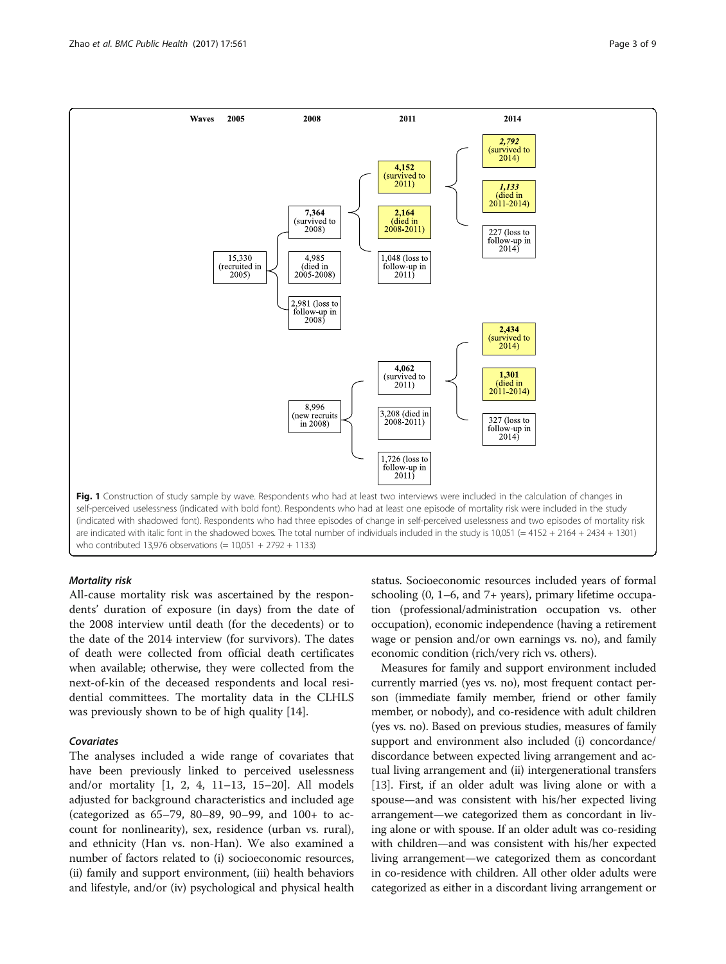<span id="page-2-0"></span>

#### Mortality risk

All-cause mortality risk was ascertained by the respondents' duration of exposure (in days) from the date of the 2008 interview until death (for the decedents) or to the date of the 2014 interview (for survivors). The dates of death were collected from official death certificates when available; otherwise, they were collected from the next-of-kin of the deceased respondents and local residential committees. The mortality data in the CLHLS was previously shown to be of high quality [\[14\]](#page-7-0).

#### Covariates

The analyses included a wide range of covariates that have been previously linked to perceived uselessness and/or mortality  $[1, 2, 4, 11-13, 15-20]$  $[1, 2, 4, 11-13, 15-20]$  $[1, 2, 4, 11-13, 15-20]$  $[1, 2, 4, 11-13, 15-20]$  $[1, 2, 4, 11-13, 15-20]$  $[1, 2, 4, 11-13, 15-20]$  $[1, 2, 4, 11-13, 15-20]$  $[1, 2, 4, 11-13, 15-20]$  $[1, 2, 4, 11-13, 15-20]$  $[1, 2, 4, 11-13, 15-20]$ . All models adjusted for background characteristics and included age (categorized as 65–79, 80–89, 90–99, and 100+ to account for nonlinearity), sex, residence (urban vs. rural), and ethnicity (Han vs. non-Han). We also examined a number of factors related to (i) socioeconomic resources, (ii) family and support environment, (iii) health behaviors and lifestyle, and/or (iv) psychological and physical health status. Socioeconomic resources included years of formal schooling (0, 1–6, and 7+ years), primary lifetime occupation (professional/administration occupation vs. other occupation), economic independence (having a retirement wage or pension and/or own earnings vs. no), and family economic condition (rich/very rich vs. others).

Measures for family and support environment included currently married (yes vs. no), most frequent contact person (immediate family member, friend or other family member, or nobody), and co-residence with adult children (yes vs. no). Based on previous studies, measures of family support and environment also included (i) concordance/ discordance between expected living arrangement and actual living arrangement and (ii) intergenerational transfers [[13](#page-7-0)]. First, if an older adult was living alone or with a spouse—and was consistent with his/her expected living arrangement—we categorized them as concordant in living alone or with spouse. If an older adult was co-residing with children—and was consistent with his/her expected living arrangement—we categorized them as concordant in co-residence with children. All other older adults were categorized as either in a discordant living arrangement or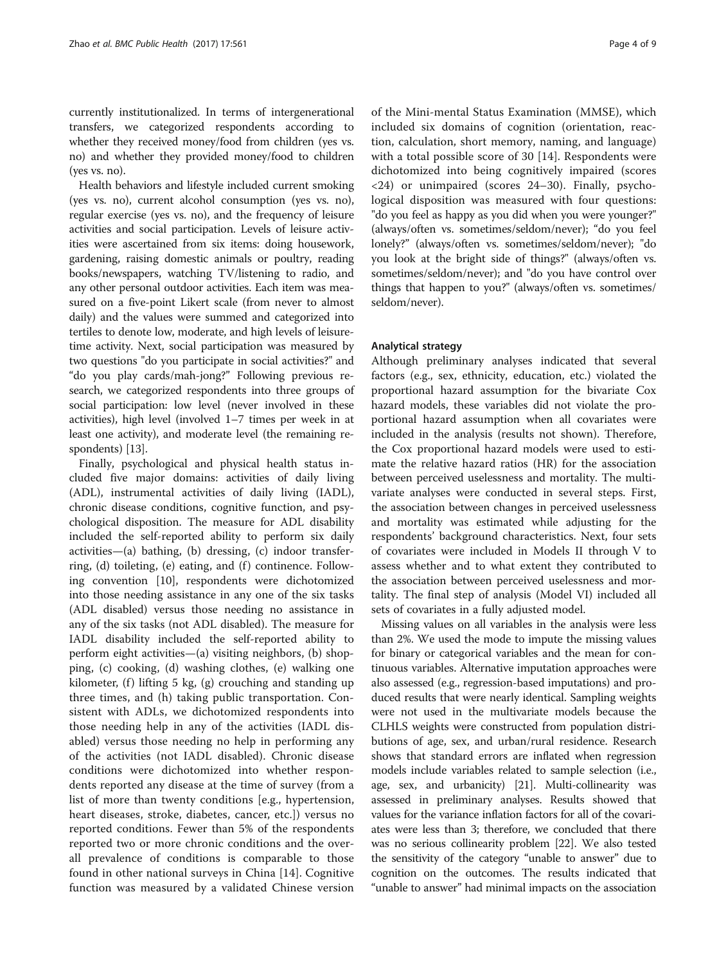currently institutionalized. In terms of intergenerational transfers, we categorized respondents according to whether they received money/food from children (yes vs. no) and whether they provided money/food to children (yes vs. no).

Health behaviors and lifestyle included current smoking (yes vs. no), current alcohol consumption (yes vs. no), regular exercise (yes vs. no), and the frequency of leisure activities and social participation. Levels of leisure activities were ascertained from six items: doing housework, gardening, raising domestic animals or poultry, reading books/newspapers, watching TV/listening to radio, and any other personal outdoor activities. Each item was measured on a five-point Likert scale (from never to almost daily) and the values were summed and categorized into tertiles to denote low, moderate, and high levels of leisuretime activity. Next, social participation was measured by two questions "do you participate in social activities?" and "do you play cards/mah-jong?" Following previous research, we categorized respondents into three groups of social participation: low level (never involved in these activities), high level (involved 1–7 times per week in at least one activity), and moderate level (the remaining respondents) [\[13\]](#page-7-0).

Finally, psychological and physical health status included five major domains: activities of daily living (ADL), instrumental activities of daily living (IADL), chronic disease conditions, cognitive function, and psychological disposition. The measure for ADL disability included the self-reported ability to perform six daily activities—(a) bathing, (b) dressing, (c) indoor transferring,  $(d)$  toileting,  $(e)$  eating, and  $(f)$  continence. Following convention [\[10\]](#page-7-0), respondents were dichotomized into those needing assistance in any one of the six tasks (ADL disabled) versus those needing no assistance in any of the six tasks (not ADL disabled). The measure for IADL disability included the self-reported ability to perform eight activities—(a) visiting neighbors, (b) shopping, (c) cooking, (d) washing clothes, (e) walking one kilometer, (f) lifting 5 kg, (g) crouching and standing up three times, and (h) taking public transportation. Consistent with ADLs, we dichotomized respondents into those needing help in any of the activities (IADL disabled) versus those needing no help in performing any of the activities (not IADL disabled). Chronic disease conditions were dichotomized into whether respondents reported any disease at the time of survey (from a list of more than twenty conditions [e.g., hypertension, heart diseases, stroke, diabetes, cancer, etc.]) versus no reported conditions. Fewer than 5% of the respondents reported two or more chronic conditions and the overall prevalence of conditions is comparable to those found in other national surveys in China [\[14](#page-7-0)]. Cognitive function was measured by a validated Chinese version of the Mini-mental Status Examination (MMSE), which included six domains of cognition (orientation, reaction, calculation, short memory, naming, and language) with a total possible score of 30 [\[14](#page-7-0)]. Respondents were dichotomized into being cognitively impaired (scores <24) or unimpaired (scores 24–30). Finally, psychological disposition was measured with four questions: "do you feel as happy as you did when you were younger?" (always/often vs. sometimes/seldom/never); "do you feel lonely?" (always/often vs. sometimes/seldom/never); "do you look at the bright side of things?" (always/often vs. sometimes/seldom/never); and "do you have control over things that happen to you?" (always/often vs. sometimes/ seldom/never).

#### Analytical strategy

Although preliminary analyses indicated that several factors (e.g., sex, ethnicity, education, etc.) violated the proportional hazard assumption for the bivariate Cox hazard models, these variables did not violate the proportional hazard assumption when all covariates were included in the analysis (results not shown). Therefore, the Cox proportional hazard models were used to estimate the relative hazard ratios (HR) for the association between perceived uselessness and mortality. The multivariate analyses were conducted in several steps. First, the association between changes in perceived uselessness and mortality was estimated while adjusting for the respondents' background characteristics. Next, four sets of covariates were included in Models II through V to assess whether and to what extent they contributed to the association between perceived uselessness and mortality. The final step of analysis (Model VI) included all sets of covariates in a fully adjusted model.

Missing values on all variables in the analysis were less than 2%. We used the mode to impute the missing values for binary or categorical variables and the mean for continuous variables. Alternative imputation approaches were also assessed (e.g., regression-based imputations) and produced results that were nearly identical. Sampling weights were not used in the multivariate models because the CLHLS weights were constructed from population distributions of age, sex, and urban/rural residence. Research shows that standard errors are inflated when regression models include variables related to sample selection (i.e., age, sex, and urbanicity) [\[21\]](#page-7-0). Multi-collinearity was assessed in preliminary analyses. Results showed that values for the variance inflation factors for all of the covariates were less than 3; therefore, we concluded that there was no serious collinearity problem [\[22\]](#page-7-0). We also tested the sensitivity of the category "unable to answer" due to cognition on the outcomes. The results indicated that "unable to answer" had minimal impacts on the association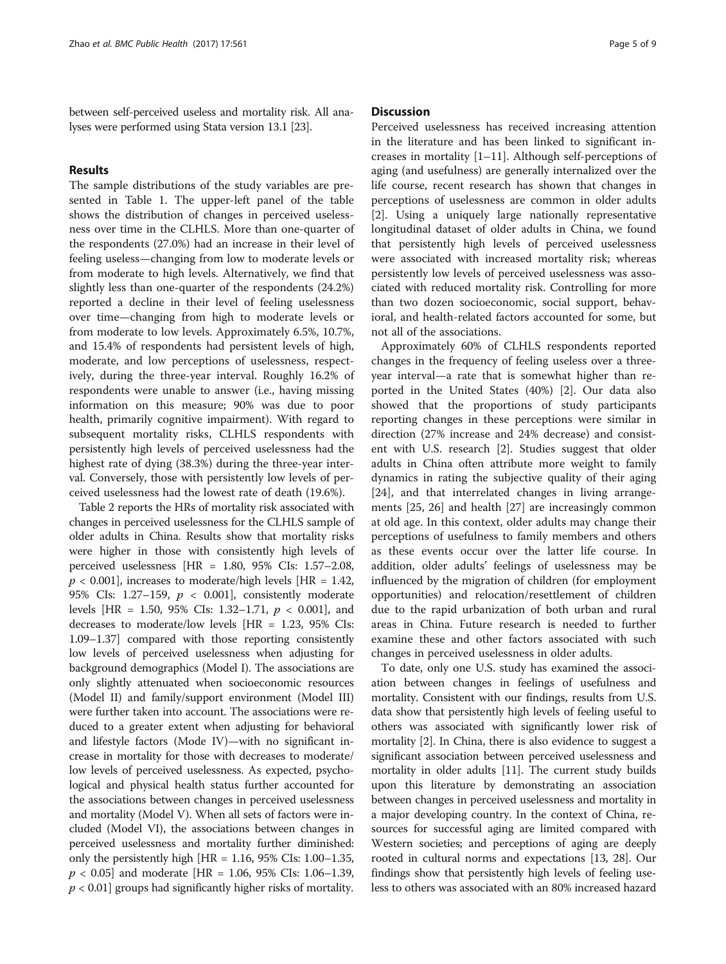between self-perceived useless and mortality risk. All analyses were performed using Stata version 13.1 [[23](#page-7-0)].

#### Results

The sample distributions of the study variables are presented in Table [1](#page-5-0). The upper-left panel of the table shows the distribution of changes in perceived uselessness over time in the CLHLS. More than one-quarter of the respondents (27.0%) had an increase in their level of feeling useless—changing from low to moderate levels or from moderate to high levels. Alternatively, we find that slightly less than one-quarter of the respondents (24.2%) reported a decline in their level of feeling uselessness over time—changing from high to moderate levels or from moderate to low levels. Approximately 6.5%, 10.7%, and 15.4% of respondents had persistent levels of high, moderate, and low perceptions of uselessness, respectively, during the three-year interval. Roughly 16.2% of respondents were unable to answer (i.e., having missing information on this measure; 90% was due to poor health, primarily cognitive impairment). With regard to subsequent mortality risks, CLHLS respondents with persistently high levels of perceived uselessness had the highest rate of dying (38.3%) during the three-year interval. Conversely, those with persistently low levels of perceived uselessness had the lowest rate of death (19.6%).

Table [2](#page-6-0) reports the HRs of mortality risk associated with changes in perceived uselessness for the CLHLS sample of older adults in China. Results show that mortality risks were higher in those with consistently high levels of perceived uselessness [HR = 1.80, 95% CIs: 1.57–2.08,  $p < 0.001$ , increases to moderate/high levels [HR = 1.42, 95% CIs: 1.27-159,  $p \lt 0.001$ , consistently moderate levels [HR = 1.50, 95% CIs: 1.32–1.71,  $p < 0.001$ ], and decreases to moderate/low levels [HR = 1.23, 95% CIs: 1.09–1.37] compared with those reporting consistently low levels of perceived uselessness when adjusting for background demographics (Model I). The associations are only slightly attenuated when socioeconomic resources (Model II) and family/support environment (Model III) were further taken into account. The associations were reduced to a greater extent when adjusting for behavioral and lifestyle factors (Mode IV)—with no significant increase in mortality for those with decreases to moderate/ low levels of perceived uselessness. As expected, psychological and physical health status further accounted for the associations between changes in perceived uselessness and mortality (Model V). When all sets of factors were included (Model VI), the associations between changes in perceived uselessness and mortality further diminished: only the persistently high  $[HR = 1.16, 95\% \text{ CIs: } 1.00-1.35,$  $p < 0.05$ ] and moderate [HR = 1.06, 95% CIs: 1.06–1.39,  $p < 0.01$ ] groups had significantly higher risks of mortality.

#### **Discussion**

Perceived uselessness has received increasing attention in the literature and has been linked to significant increases in mortality [[1](#page-7-0)–[11](#page-7-0)]. Although self-perceptions of aging (and usefulness) are generally internalized over the life course, recent research has shown that changes in perceptions of uselessness are common in older adults [[2\]](#page-7-0). Using a uniquely large nationally representative longitudinal dataset of older adults in China, we found that persistently high levels of perceived uselessness were associated with increased mortality risk; whereas persistently low levels of perceived uselessness was associated with reduced mortality risk. Controlling for more than two dozen socioeconomic, social support, behavioral, and health-related factors accounted for some, but not all of the associations.

Approximately 60% of CLHLS respondents reported changes in the frequency of feeling useless over a threeyear interval—a rate that is somewhat higher than reported in the United States (40%) [[2](#page-7-0)]. Our data also showed that the proportions of study participants reporting changes in these perceptions were similar in direction (27% increase and 24% decrease) and consistent with U.S. research [[2\]](#page-7-0). Studies suggest that older adults in China often attribute more weight to family dynamics in rating the subjective quality of their aging [[24\]](#page-8-0), and that interrelated changes in living arrangements [\[25](#page-8-0), [26](#page-8-0)] and health [\[27\]](#page-8-0) are increasingly common at old age. In this context, older adults may change their perceptions of usefulness to family members and others as these events occur over the latter life course. In addition, older adults' feelings of uselessness may be influenced by the migration of children (for employment opportunities) and relocation/resettlement of children due to the rapid urbanization of both urban and rural areas in China. Future research is needed to further examine these and other factors associated with such changes in perceived uselessness in older adults.

To date, only one U.S. study has examined the association between changes in feelings of usefulness and mortality. Consistent with our findings, results from U.S. data show that persistently high levels of feeling useful to others was associated with significantly lower risk of mortality [\[2](#page-7-0)]. In China, there is also evidence to suggest a significant association between perceived uselessness and mortality in older adults [[11](#page-7-0)]. The current study builds upon this literature by demonstrating an association between changes in perceived uselessness and mortality in a major developing country. In the context of China, resources for successful aging are limited compared with Western societies; and perceptions of aging are deeply rooted in cultural norms and expectations [\[13](#page-7-0), [28\]](#page-8-0). Our findings show that persistently high levels of feeling useless to others was associated with an 80% increased hazard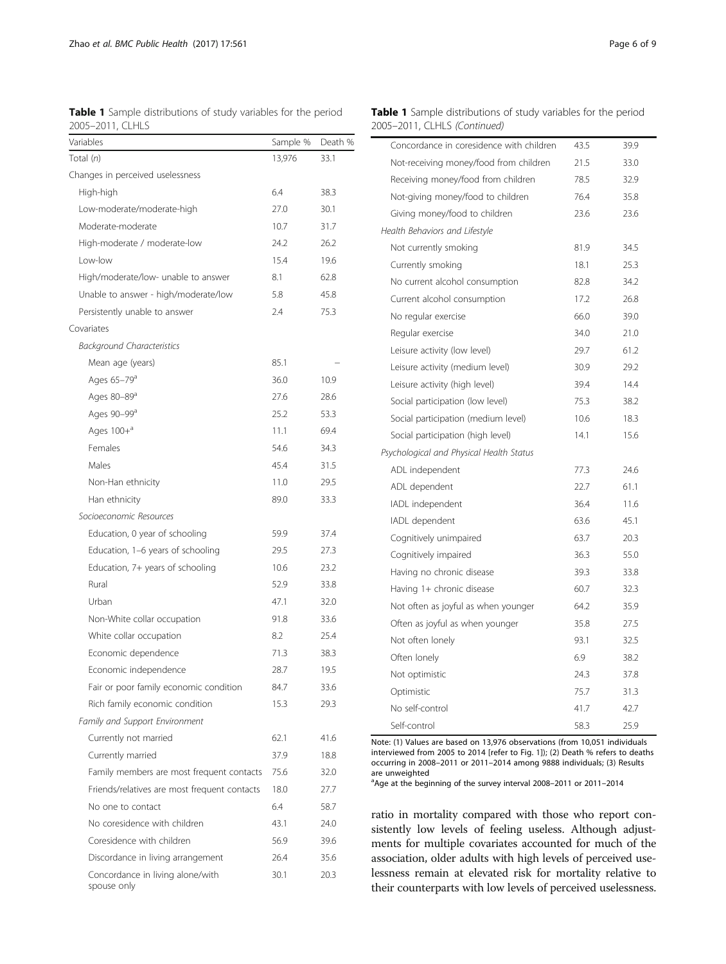<span id="page-5-0"></span>Table 1 Sample distributions of study variables for the period 2005–2011, CLHLS

| Variables                                       | Sample % | Death % |  |
|-------------------------------------------------|----------|---------|--|
| Total (n)                                       | 13,976   |         |  |
| Changes in perceived uselessness                |          |         |  |
| High-high                                       | 6.4      | 38.3    |  |
| Low-moderate/moderate-high                      | 27.0     | 30.1    |  |
| Moderate-moderate                               | 10.7     | 31.7    |  |
| High-moderate / moderate-low                    | 24.2     | 26.2    |  |
| Low-low                                         | 15.4     | 19.6    |  |
| High/moderate/low- unable to answer             | 8.1      | 62.8    |  |
| Unable to answer - high/moderate/low            | 5.8      | 45.8    |  |
| Persistently unable to answer                   | 2.4      | 75.3    |  |
| Covariates                                      |          |         |  |
| <b>Background Characteristics</b>               |          |         |  |
| Mean age (years)                                | 85.1     |         |  |
| Ages 65-79 <sup>a</sup>                         | 36.0     | 10.9    |  |
| Ages 80-89 <sup>a</sup>                         | 27.6     | 28.6    |  |
| Ages 90-99 <sup>a</sup>                         | 25.2     | 53.3    |  |
| Ages $100 +a$                                   | 11.1     | 69.4    |  |
| Females                                         | 54.6     | 34.3    |  |
| Males                                           | 45.4     | 31.5    |  |
| Non-Han ethnicity                               | 11.0     | 29.5    |  |
| Han ethnicity                                   | 89.0     | 33.3    |  |
| Socioeconomic Resources                         |          |         |  |
| Education, 0 year of schooling                  | 59.9     | 37.4    |  |
| Education, 1-6 years of schooling               | 29.5     | 27.3    |  |
| Education, 7+ years of schooling                | 10.6     | 23.2    |  |
| Rural                                           | 52.9     | 33.8    |  |
| Urban                                           | 47.1     | 32.0    |  |
| Non-White collar occupation                     | 91.8     | 33.6    |  |
| White collar occupation                         | 8.2      | 25.4    |  |
| Economic dependence                             | 71.3     | 38.3    |  |
| Economic independence                           | 28.7     | 19.5    |  |
| Fair or poor family economic condition          | 84.7     | 33.6    |  |
| Rich family economic condition                  | 15.3     | 29.3    |  |
| Family and Support Environment                  |          |         |  |
| Currently not married                           | 62.1     | 41.6    |  |
| Currently married                               | 37.9     | 18.8    |  |
| Family members are most frequent contacts       | 75.6     | 32.0    |  |
| Friends/relatives are most frequent contacts    | 18.0     | 27.7    |  |
| No one to contact                               | 6.4      | 58.7    |  |
| No coresidence with children                    | 43.1     | 24.0    |  |
| Coresidence with children                       | 56.9     | 39.6    |  |
| Discordance in living arrangement               | 26.4     | 35.6    |  |
| Concordance in living alone/with<br>spouse only | 30.1     | 20.3    |  |

Table 1 Sample distributions of study variables for the period 2005–2011, CLHLS (Continued)

 $\overline{\phantom{0}}$ 

| Concordance in coresidence with children | 43.5 | 39.9 |
|------------------------------------------|------|------|
| Not-receiving money/food from children   | 21.5 | 33.0 |
| Receiving money/food from children       | 78.5 | 32.9 |
| Not-giving money/food to children        | 76.4 | 35.8 |
| Giving money/food to children            | 23.6 | 23.6 |
| Health Behaviors and Lifestyle           |      |      |
| Not currently smoking                    | 81.9 | 34.5 |
| Currently smoking                        | 18.1 | 25.3 |
| No current alcohol consumption           | 82.8 | 34.2 |
| Current alcohol consumption              | 17.2 | 26.8 |
| No regular exercise                      | 66.0 | 39.0 |
| Regular exercise                         | 34.0 | 21.0 |
| Leisure activity (low level)             | 29.7 | 61.2 |
| Leisure activity (medium level)          | 30.9 | 29.2 |
| Leisure activity (high level)            | 39.4 | 14.4 |
| Social participation (low level)         | 75.3 | 38.2 |
| Social participation (medium level)      | 10.6 | 18.3 |
| Social participation (high level)        | 14.1 | 15.6 |
| Psychological and Physical Health Status |      |      |
| ADL independent                          | 77.3 | 24.6 |
| ADL dependent                            | 22.7 | 61.1 |
| IADL independent                         | 36.4 | 11.6 |
| IADL dependent                           | 63.6 | 45.1 |
| Cognitively unimpaired                   | 63.7 | 20.3 |
| Cognitively impaired                     | 36.3 | 55.0 |
| Having no chronic disease                | 39.3 | 33.8 |
| Having 1+ chronic disease                | 60.7 | 32.3 |
| Not often as joyful as when younger      | 64.2 | 35.9 |
| Often as joyful as when younger          | 35.8 | 27.5 |
| Not often lonely                         | 93.1 | 32.5 |
| Often lonely                             | 6.9  | 38.2 |
| Not optimistic                           | 24.3 | 37.8 |
| Optimistic                               | 75.7 | 31.3 |
| No self-control                          | 41.7 | 42.7 |
| Self-control                             | 58.3 | 25.9 |

Note: (1) Values are based on 13,976 observations (from 10,051 individuals interviewed from 2005 to 2014 [refer to Fig. [1\]](#page-2-0)); (2) Death % refers to deaths occurring in 2008–2011 or 2011–2014 among 9888 individuals; (3) Results are unweighted

<sup>a</sup>Age at the beginning of the survey interval 2008-2011 or 2011-2014

ratio in mortality compared with those who report consistently low levels of feeling useless. Although adjustments for multiple covariates accounted for much of the association, older adults with high levels of perceived uselessness remain at elevated risk for mortality relative to their counterparts with low levels of perceived uselessness.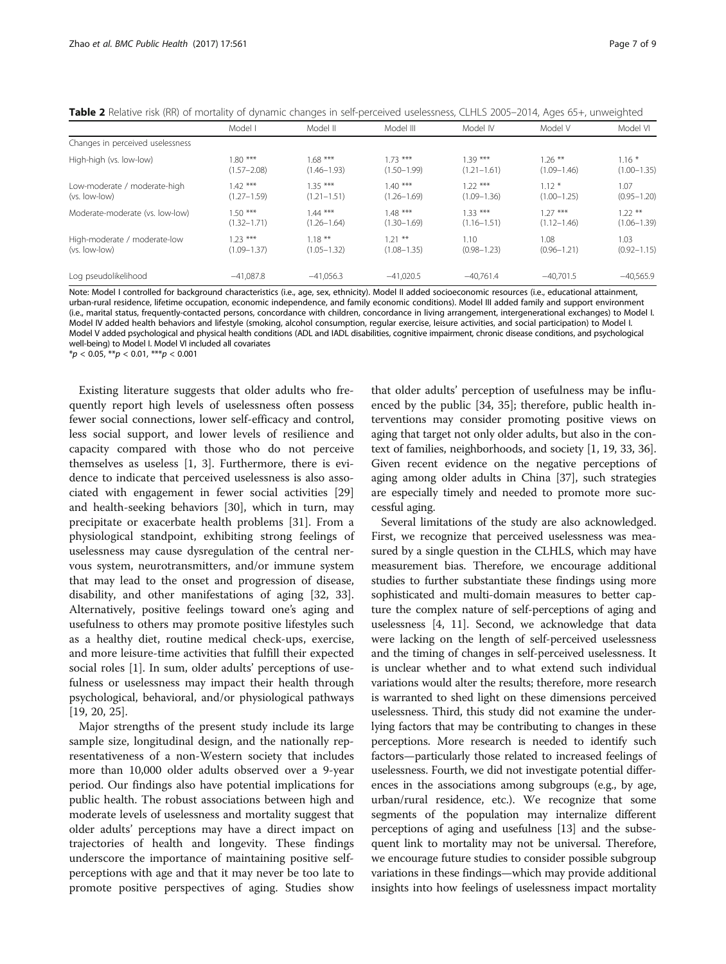|                                  | Model I         | Model II        | Model III       | Model IV        | Model V         | Model VI        |
|----------------------------------|-----------------|-----------------|-----------------|-----------------|-----------------|-----------------|
| Changes in perceived uselessness |                 |                 |                 |                 |                 |                 |
| High-high (vs. low-low)          | $1.80***$       | $1.68***$       | $.73***$        | $1.39***$       | $1.26***$       | $1.16*$         |
|                                  | $(1.57 - 2.08)$ | $(1.46 - 1.93)$ | $(1.50 - 1.99)$ | $(1.21 - 1.61)$ | $(1.09 - 1.46)$ | $(1.00 - 1.35)$ |
| Low-moderate / moderate-high     | $1.42***$       | $1.35***$       | $40***$         | $1.22***$       | $1.12*$         | 1.07            |
| (vs. low-low)                    | $(1.27 - 1.59)$ | $(1.21 - 1.51)$ | $(1.26 - 1.69)$ | $(1.09 - 1.36)$ | $(1.00 - 1.25)$ | $(0.95 - 1.20)$ |
| Moderate-moderate (vs. low-low)  | $1.50***$       | $1.44***$       | $1.48***$       | $1.33***$       | $127***$        | $1.22***$       |
|                                  | $(1.32 - 1.71)$ | $(1.26 - 1.64)$ | $(1.30 - 1.69)$ | $(1.16 - 1.51)$ | $(1.12 - 1.46)$ | $(1.06 - 1.39)$ |
| High-moderate / moderate-low     | $1.23***$       | $118***$        | $121**$         | 1.10            | 1.08            | 1.03            |
| (vs. low-low)                    | $(1.09 - 1.37)$ | $(1.05 - 1.32)$ | $(1.08 - 1.35)$ | $(0.98 - 1.23)$ | $(0.96 - 1.21)$ | $(0.92 - 1.15)$ |
| Log pseudolikelihood             | $-41,087.8$     | $-41,056.3$     | $-41,020.5$     | $-40,761.4$     | $-40,701.5$     | $-40,565.9$     |

<span id="page-6-0"></span>Table 2 Relative risk (RR) of mortality of dynamic changes in self-perceived uselessness, CLHLS 2005–2014, Ages 65+, unweighted

Note: Model I controlled for background characteristics (i.e., age, sex, ethnicity). Model II added socioeconomic resources (i.e., educational attainment, urban-rural residence, lifetime occupation, economic independence, and family economic conditions). Model III added family and support environment (i.e., marital status, frequently-contacted persons, concordance with children, concordance in living arrangement, intergenerational exchanges) to Model I. Model IV added health behaviors and lifestyle (smoking, alcohol consumption, regular exercise, leisure activities, and social participation) to Model I. Model V added psychological and physical health conditions (ADL and IADL disabilities, cognitive impairment, chronic disease conditions, and psychological well-being) to Model I. Model VI included all covariates

 $**p* < 0.05, ***p* < 0.01, ****p* < 0.001$ 

Existing literature suggests that older adults who frequently report high levels of uselessness often possess fewer social connections, lower self-efficacy and control, less social support, and lower levels of resilience and capacity compared with those who do not perceive themselves as useless [\[1](#page-7-0), [3\]](#page-7-0). Furthermore, there is evidence to indicate that perceived uselessness is also associated with engagement in fewer social activities [[29](#page-8-0)] and health-seeking behaviors [\[30\]](#page-8-0), which in turn, may precipitate or exacerbate health problems [\[31\]](#page-8-0). From a physiological standpoint, exhibiting strong feelings of uselessness may cause dysregulation of the central nervous system, neurotransmitters, and/or immune system that may lead to the onset and progression of disease, disability, and other manifestations of aging [[32, 33](#page-8-0)]. Alternatively, positive feelings toward one's aging and usefulness to others may promote positive lifestyles such as a healthy diet, routine medical check-ups, exercise, and more leisure-time activities that fulfill their expected social roles [[1\]](#page-7-0). In sum, older adults' perceptions of usefulness or uselessness may impact their health through psychological, behavioral, and/or physiological pathways [[19, 20,](#page-7-0) [25](#page-8-0)].

Major strengths of the present study include its large sample size, longitudinal design, and the nationally representativeness of a non-Western society that includes more than 10,000 older adults observed over a 9-year period. Our findings also have potential implications for public health. The robust associations between high and moderate levels of uselessness and mortality suggest that older adults' perceptions may have a direct impact on trajectories of health and longevity. These findings underscore the importance of maintaining positive selfperceptions with age and that it may never be too late to promote positive perspectives of aging. Studies show that older adults' perception of usefulness may be influenced by the public [\[34](#page-8-0), [35](#page-8-0)]; therefore, public health interventions may consider promoting positive views on aging that target not only older adults, but also in the context of families, neighborhoods, and society [[1, 19](#page-7-0), [33, 36](#page-8-0)]. Given recent evidence on the negative perceptions of aging among older adults in China [\[37\]](#page-8-0), such strategies are especially timely and needed to promote more successful aging.

Several limitations of the study are also acknowledged. First, we recognize that perceived uselessness was measured by a single question in the CLHLS, which may have measurement bias. Therefore, we encourage additional studies to further substantiate these findings using more sophisticated and multi-domain measures to better capture the complex nature of self-perceptions of aging and uselessness [[4, 11\]](#page-7-0). Second, we acknowledge that data were lacking on the length of self-perceived uselessness and the timing of changes in self-perceived uselessness. It is unclear whether and to what extend such individual variations would alter the results; therefore, more research is warranted to shed light on these dimensions perceived uselessness. Third, this study did not examine the underlying factors that may be contributing to changes in these perceptions. More research is needed to identify such factors—particularly those related to increased feelings of uselessness. Fourth, we did not investigate potential differences in the associations among subgroups (e.g., by age, urban/rural residence, etc.). We recognize that some segments of the population may internalize different perceptions of aging and usefulness [\[13\]](#page-7-0) and the subsequent link to mortality may not be universal. Therefore, we encourage future studies to consider possible subgroup variations in these findings—which may provide additional insights into how feelings of uselessness impact mortality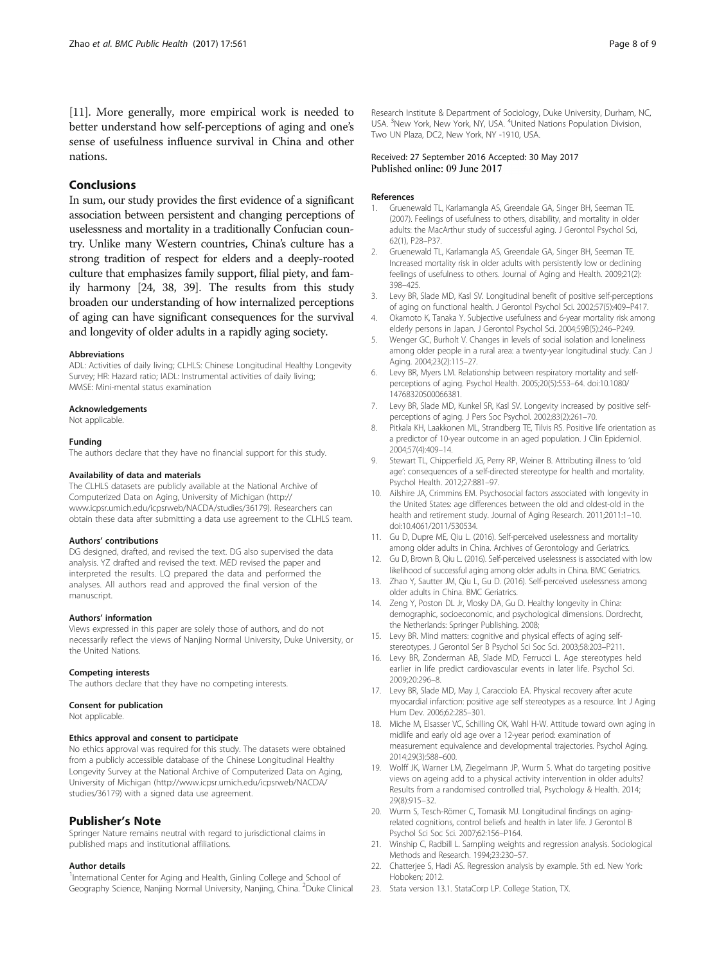<span id="page-7-0"></span>[11]. More generally, more empirical work is needed to better understand how self-perceptions of aging and one's sense of usefulness influence survival in China and other nations.

## Conclusions

In sum, our study provides the first evidence of a significant association between persistent and changing perceptions of uselessness and mortality in a traditionally Confucian country. Unlike many Western countries, China's culture has a strong tradition of respect for elders and a deeply-rooted culture that emphasizes family support, filial piety, and family harmony [[24](#page-8-0), [38, 39](#page-8-0)]. The results from this study broaden our understanding of how internalized perceptions of aging can have significant consequences for the survival and longevity of older adults in a rapidly aging society.

#### Abbreviations

ADL: Activities of daily living; CLHLS: Chinese Longitudinal Healthy Longevity Survey; HR: Hazard ratio; IADL: Instrumental activities of daily living; MMSE: Mini-mental status examination

#### Acknowledgements

Not applicable.

#### Funding

The authors declare that they have no financial support for this study.

#### Availability of data and materials

The CLHLS datasets are publicly available at the National Archive of Computerized Data on Aging, University of Michigan ([http://](http://www.icpsr.umich.edu/icpsrweb/NACDA/studies/36179) [www.icpsr.umich.edu/icpsrweb/NACDA/studies/36179\)](http://www.icpsr.umich.edu/icpsrweb/NACDA/studies/36179). Researchers can obtain these data after submitting a data use agreement to the CLHLS team.

#### Authors' contributions

DG designed, drafted, and revised the text. DG also supervised the data analysis. YZ drafted and revised the text. MED revised the paper and interpreted the results. LQ prepared the data and performed the analyses. All authors read and approved the final version of the manuscript.

#### Authors' information

Views expressed in this paper are solely those of authors, and do not necessarily reflect the views of Nanjing Normal University, Duke University, or the United Nations.

#### Competing interests

The authors declare that they have no competing interests.

#### Consent for publication

Not applicable.

#### Ethics approval and consent to participate

No ethics approval was required for this study. The datasets were obtained from a publicly accessible database of the Chinese Longitudinal Healthy Longevity Survey at the National Archive of Computerized Data on Aging, University of Michigan [\(http://www.icpsr.umich.edu/icpsrweb/NACDA/](http://www.icpsr.umich.edu/icpsrweb/NACDA/studies/36179) [studies/36179](http://www.icpsr.umich.edu/icpsrweb/NACDA/studies/36179)) with a signed data use agreement.

#### Publisher's Note

Springer Nature remains neutral with regard to jurisdictional claims in published maps and institutional affiliations.

#### Author details

<sup>1</sup>International Center for Aging and Health, Ginling College and School of Geography Science, Nanjing Normal University, Nanjing, China. <sup>2</sup>Duke Clinical Research Institute & Department of Sociology, Duke University, Durham, NC, USA. <sup>3</sup>New York, New York, NY, USA. <sup>4</sup>United Nations Population Division Two UN Plaza, DC2, New York, NY -1910, USA.

#### Received: 27 September 2016 Accepted: 30 May 2017 Published online: 09 June 2017

#### References

- 1. Gruenewald TL, Karlamangla AS, Greendale GA, Singer BH, Seeman TE. (2007). Feelings of usefulness to others, disability, and mortality in older adults: the MacArthur study of successful aging. J Gerontol Psychol Sci, 62(1), P28–P37.
- 2. Gruenewald TL, Karlamangla AS, Greendale GA, Singer BH, Seeman TE. Increased mortality risk in older adults with persistently low or declining feelings of usefulness to others. Journal of Aging and Health. 2009;21(2): 398–425.
- 3. Levy BR, Slade MD, Kasl SV. Longitudinal benefit of positive self-perceptions of aging on functional health. J Gerontol Psychol Sci. 2002;57(5):409–P417.
- 4. Okamoto K, Tanaka Y. Subjective usefulness and 6-year mortality risk among elderly persons in Japan. J Gerontol Psychol Sci. 2004;59B(5):246–P249.
- 5. Wenger GC, Burholt V. Changes in levels of social isolation and loneliness among older people in a rural area: a twenty-year longitudinal study. Can J Aging. 2004;23(2):115–27.
- 6. Levy BR, Myers LM. Relationship between respiratory mortality and selfperceptions of aging. Psychol Health. 2005;20(5):553–64. doi[:10.1080/](http://dx.doi.org/10.1080/14768320500066381) [14768320500066381.](http://dx.doi.org/10.1080/14768320500066381)
- 7. Levy BR, Slade MD, Kunkel SR, Kasl SV. Longevity increased by positive selfperceptions of aging. J Pers Soc Psychol. 2002;83(2):261–70.
- 8. Pitkala KH, Laakkonen ML, Strandberg TE, Tilvis RS. Positive life orientation as a predictor of 10-year outcome in an aged population. J Clin Epidemiol. 2004;57(4):409–14.
- 9. Stewart TL, Chipperfield JG, Perry RP, Weiner B. Attributing illness to 'old age': consequences of a self-directed stereotype for health and mortality. Psychol Health. 2012;27:881–97.
- 10. Ailshire JA, Crimmins EM. Psychosocial factors associated with longevity in the United States: age differences between the old and oldest-old in the health and retirement study. Journal of Aging Research. 2011;2011:1–10. doi[:10.4061/2011/530534.](http://dx.doi.org/10.4061/2011/530534)
- 11. Gu D, Dupre ME, Qiu L. (2016). Self-perceived uselessness and mortality among older adults in China. Archives of Gerontology and Geriatrics.
- 12. Gu D, Brown B, Qiu L. (2016). Self-perceived uselessness is associated with low likelihood of successful aging among older adults in China. BMC Geriatrics.
- 13. Zhao Y, Sautter JM, Qiu L, Gu D. (2016). Self-perceived uselessness among older adults in China. BMC Geriatrics.
- 14. Zeng Y, Poston DL Jr, Vlosky DA, Gu D. Healthy longevity in China: demographic, socioeconomic, and psychological dimensions. Dordrecht, the Netherlands: Springer Publishing. 2008;
- 15. Levy BR. Mind matters: cognitive and physical effects of aging selfstereotypes. J Gerontol Ser B Psychol Sci Soc Sci. 2003;58:203–P211.
- 16. Levy BR, Zonderman AB, Slade MD, Ferrucci L. Age stereotypes held earlier in life predict cardiovascular events in later life. Psychol Sci. 2009;20:296–8.
- 17. Levy BR, Slade MD, May J, Caracciolo EA. Physical recovery after acute myocardial infarction: positive age self stereotypes as a resource. Int J Aging Hum Dev. 2006;62:285–301.
- 18. Miche M, Elsasser VC, Schilling OK, Wahl H-W. Attitude toward own aging in midlife and early old age over a 12-year period: examination of measurement equivalence and developmental trajectories. Psychol Aging. 2014;29(3):588–600.
- 19. Wolff JK, Warner LM, Ziegelmann JP, Wurm S. What do targeting positive views on ageing add to a physical activity intervention in older adults? Results from a randomised controlled trial, Psychology & Health. 2014; 29(8):915–32.
- 20. Wurm S, Tesch-Römer C, Tomasik MJ. Longitudinal findings on agingrelated cognitions, control beliefs and health in later life. J Gerontol B Psychol Sci Soc Sci. 2007;62:156–P164.
- 21. Winship C, Radbill L. Sampling weights and regression analysis. Sociological Methods and Research. 1994;23:230–57.
- 22. Chatterjee S, Hadi AS. Regression analysis by example. 5th ed. New York: Hoboken; 2012.
- 23. Stata version 13.1. StataCorp LP. College Station, TX.